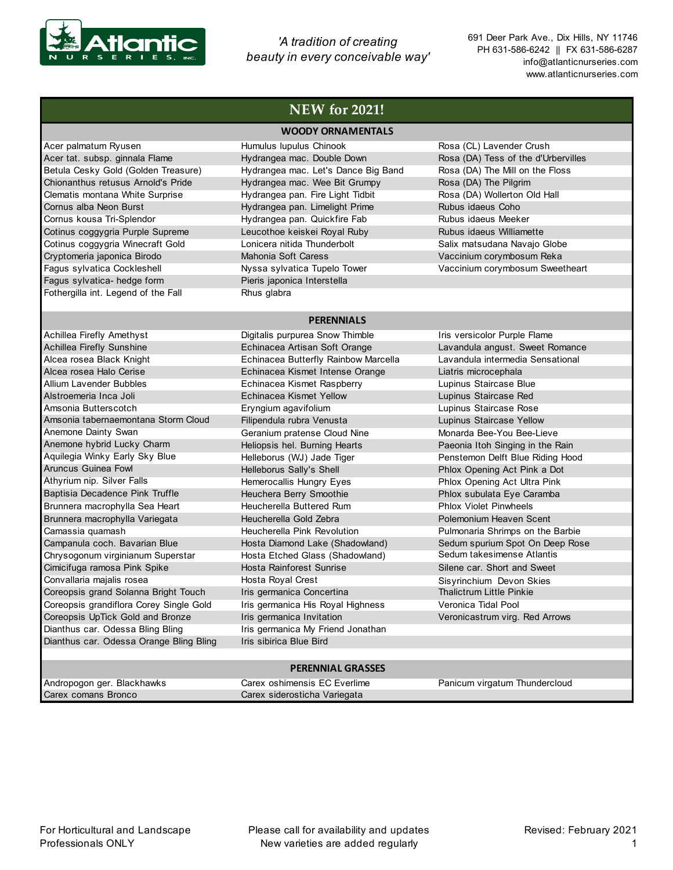

*'A tradition of creating beauty in every conceivable way'* 691 Deer Park Ave., Dix Hills, NY 11746 PH 631-586-6242 || FX 631-586-6287 info@atlanticnurseries.com www.atlanticnurseries.com

|                                         | <b>WOODY ORNAMENTALS</b>             |                                     |
|-----------------------------------------|--------------------------------------|-------------------------------------|
| Acer palmatum Ryusen                    | Humulus lupulus Chinook              | Rosa (CL) Lavender Crush            |
| Acer tat. subsp. ginnala Flame          | Hydrangea mac. Double Down           | Rosa (DA) Tess of the d'Urbervilles |
| Betula Cesky Gold (Golden Treasure)     | Hydrangea mac. Let's Dance Big Band  | Rosa (DA) The Mill on the Floss     |
| Chionanthus retusus Arnold's Pride      | Hydrangea mac. Wee Bit Grumpy        | Rosa (DA) The Pilgrim               |
| Clematis montana White Surprise         | Hydrangea pan. Fire Light Tidbit     | Rosa (DA) Wollerton Old Hall        |
| Cornus alba Neon Burst                  | Hydrangea pan. Limelight Prime       | Rubus idaeus Coho                   |
| Cornus kousa Tri-Splendor               | Hydrangea pan. Quickfire Fab         | Rubus idaeus Meeker                 |
| Cotinus coggygria Purple Supreme        | Leucothoe keiskei Royal Ruby         | Rubus idaeus Williamette            |
| Cotinus coggygria Winecraft Gold        | Lonicera nitida Thunderbolt          | Salix matsudana Navajo Globe        |
| Cryptomeria japonica Birodo             | Mahonia Soft Caress                  | Vaccinium corymbosum Reka           |
| Fagus sylvatica Cockleshell             | Nyssa sylvatica Tupelo Tower         | Vaccinium corymbosum Sweetheart     |
| Fagus sylvatica- hedge form             | Pieris japonica Interstella          |                                     |
| Fothergilla int. Legend of the Fall     | Rhus glabra                          |                                     |
|                                         |                                      |                                     |
|                                         | <b>PERENNIALS</b>                    |                                     |
| Achillea Firefly Amethyst               | Digitalis purpurea Snow Thimble      | Iris versicolor Purple Flame        |
| Achillea Firefly Sunshine               | Echinacea Artisan Soft Orange        | Lavandula angust. Sweet Romance     |
| Alcea rosea Black Knight                | Echinacea Butterfly Rainbow Marcella | Lavandula intermedia Sensational    |
| Alcea rosea Halo Cerise                 | Echinacea Kismet Intense Orange      | Liatris microcephala                |
| Allium Lavender Bubbles                 | Echinacea Kismet Raspberry           | Lupinus Staircase Blue              |
| Alstroemeria Inca Joli                  | Echinacea Kismet Yellow              | Lupinus Staircase Red               |
| Amsonia Butterscotch                    | Eryngium agavifolium                 | Lupinus Staircase Rose              |
| Amsonia tabernaemontana Storm Cloud     | Filipendula rubra Venusta            | Lupinus Staircase Yellow            |
| Anemone Dainty Swan                     | Geranium pratense Cloud Nine         | Monarda Bee-You Bee-Lieve           |
| Anemone hybrid Lucky Charm              | Heliopsis hel. Burning Hearts        | Paeonia Itoh Singing in the Rain    |
| Aquilegia Winky Early Sky Blue          | Helleborus (WJ) Jade Tiger           | Penstemon Delft Blue Riding Hood    |
| <b>Aruncus Guinea Fowl</b>              | Helleborus Sally's Shell             | Phlox Opening Act Pink a Dot        |
| Athyrium nip. Silver Falls              | Hemerocallis Hungry Eyes             | Phlox Opening Act Ultra Pink        |
| Baptisia Decadence Pink Truffle         | Heuchera Berry Smoothie              | Phlox subulata Eye Caramba          |
| Brunnera macrophylla Sea Heart          | Heucherella Buttered Rum             | <b>Phlox Violet Pinwheels</b>       |
| Brunnera macrophylla Variegata          | Heucherella Gold Zebra               | Polemonium Heaven Scent             |
| Camassia quamash                        | Heucherella Pink Revolution          | Pulmonaria Shrimps on the Barbie    |
| Campanula coch. Bavarian Blue           | Hosta Diamond Lake (Shadowland)      | Sedum spurium Spot On Deep Rose     |
| Chrysogonum virginianum Superstar       | Hosta Etched Glass (Shadowland)      | Sedum takesimense Atlantis          |
| Cimicifuga ramosa Pink Spike            | Hosta Rainforest Sunrise             | Silene car. Short and Sweet         |
| Convallaria majalis rosea               | Hosta Royal Crest                    | Sisyrinchium Devon Skies            |
| Coreopsis grand Solanna Bright Touch    | Iris germanica Concertina            | <b>Thalictrum Little Pinkie</b>     |
| Coreopsis grandiflora Corey Single Gold | Iris germanica His Royal Highness    | Veronica Tidal Pool                 |
| Coreopsis UpTick Gold and Bronze        | Iris germanica Invitation            | Veronicastrum virg. Red Arrows      |
| Dianthus car. Odessa Bling Bling        | Iris germanica My Friend Jonathan    |                                     |
| Dianthus car. Odessa Orange Bling Bling | Iris sibirica Blue Bird              |                                     |
|                                         |                                      |                                     |
|                                         | <b>BEBENIAL OBACCES</b>              |                                     |

## **PERENNIAL GRASSES**

| Andropogon ger. Blackhawks | Carex oshimensis EC Everlime | Panicum virgatum Thundercloud |
|----------------------------|------------------------------|-------------------------------|
| Carex comans Bronco        | Carex siderosticha Variegata |                               |